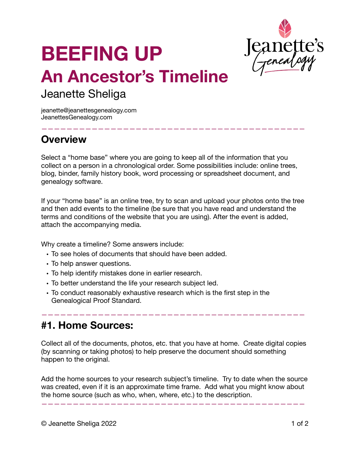

# **BEEFING UP An Ancestor's Timeline**

# Jeanette Sheliga

jeanette@jeanettesgenealogy.com JeanettesGenealogy.com

# **Overview**

Select a "home base" where you are going to keep all of the information that you collect on a person in a chronological order. Some possibilities include: online trees, blog, binder, family history book, word processing or spreadsheet document, and genealogy software.

——————————————————————————————————————————

If your "home base" is an online tree, try to scan and upload your photos onto the tree and then add events to the timeline (be sure that you have read and understand the terms and conditions of the website that you are using). After the event is added, attach the accompanying media.

Why create a timeline? Some answers include:

- To see holes of documents that should have been added.
- To help answer questions.
- To help identify mistakes done in earlier research.
- To better understand the life your research subject led.
- To conduct reasonably exhaustive research which is the first step in the Genealogical Proof Standard.

### **#1. Home Sources:**

Collect all of the documents, photos, etc. that you have at home. Create digital copies (by scanning or taking photos) to help preserve the document should something happen to the original.

——————————————————————————————————————————

Add the home sources to your research subject's timeline. Try to date when the source was created, even if it is an approximate time frame. Add what you might know about the home source (such as who, when, where, etc.) to the description.

——————————————————————————————————————————